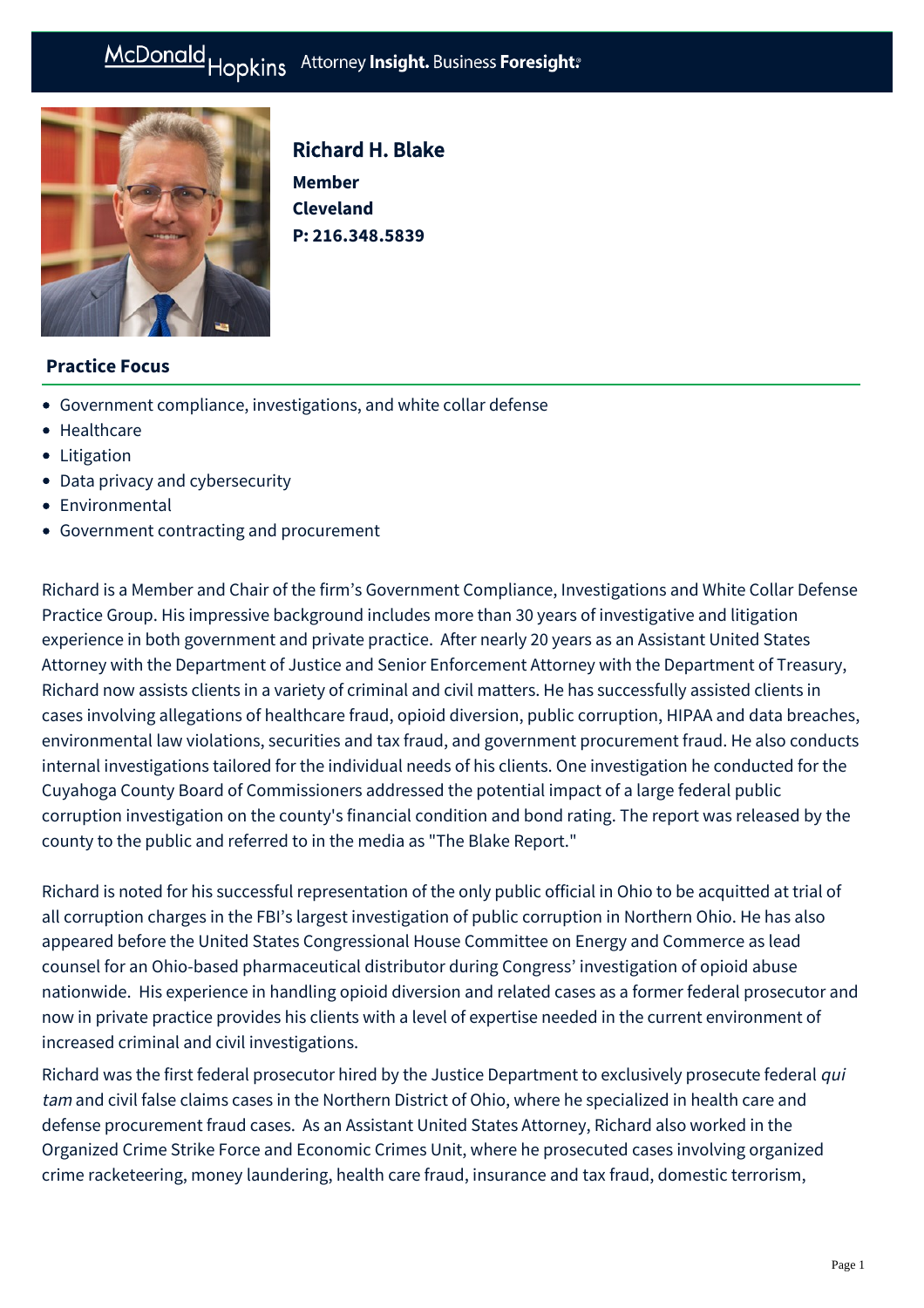# McDonald Hopkins Attorney Insight. Business Foresight:



# Richard H. Blake

**Member Cleveland P: [216.348.5839](tel:216.348.5839)**

### **Practice Focus**

- [Government compliance, investigations, and white collar defense](https://businessadvocate.mcdonaldhopkins.com/Expertise/Litigation/Government-compliance,-investigations,-and-white-c)
- [Healthcare](https://businessadvocate.mcdonaldhopkins.com/Expertise/Healthcare)
- [Litigation](https://businessadvocate.mcdonaldhopkins.com/Expertise/Litigation)
- [Data privacy and cybersecurity](https://businessadvocate.mcdonaldhopkins.com/Expertise/Data-privacy-and-cybersecurity)
- [Environmental](https://businessadvocate.mcdonaldhopkins.com/Expertise/Business-counseling/Environmental)
- [Government contracting and procurement](https://businessadvocate.mcdonaldhopkins.com/Expertise/Government-contracting-and-procurement)

Richard is a Member and Chair of the firm's Government Compliance, Investigations and White Collar Defense Practice Group. His impressive background includes more than 30 years of investigative and litigation experience in both government and private practice. After nearly 20 years as an Assistant United States Attorney with the Department of Justice and Senior Enforcement Attorney with the Department of Treasury, Richard now assists clients in a variety of criminal and civil matters. He has successfully assisted clients in cases involving allegations of healthcare fraud, opioid diversion, public corruption, HIPAA and data breaches, environmental law violations, securities and tax fraud, and government procurement fraud. He also conducts internal investigations tailored for the individual needs of his clients. One investigation he conducted for the Cuyahoga County Board of Commissioners addressed the potential impact of a large federal public corruption investigation on the county's financial condition and bond rating. The report was released by the county to the public and referred to in the media as "The Blake Report."

Richard is noted for his successful representation of the only public official in Ohio to be acquitted at trial of all corruption charges in the FBI's largest investigation of public corruption in Northern Ohio. He has also appeared before the United States Congressional House Committee on Energy and Commerce as lead counsel for an Ohio-based pharmaceutical distributor during Congress' investigation of opioid abuse nationwide. His experience in handling opioid diversion and related cases as a former federal prosecutor and now in private practice provides his clients with a level of expertise needed in the current environment of increased criminal and civil investigations.

Richard was the first federal prosecutor hired by the Justice Department to exclusively prosecute federal qui tam and civil false claims cases in the Northern District of Ohio, where he specialized in health care and defense procurement fraud cases. As an Assistant United States Attorney, Richard also worked in the Organized Crime Strike Force and Economic Crimes Unit, where he prosecuted cases involving organized crime racketeering, money laundering, health care fraud, insurance and tax fraud, domestic terrorism,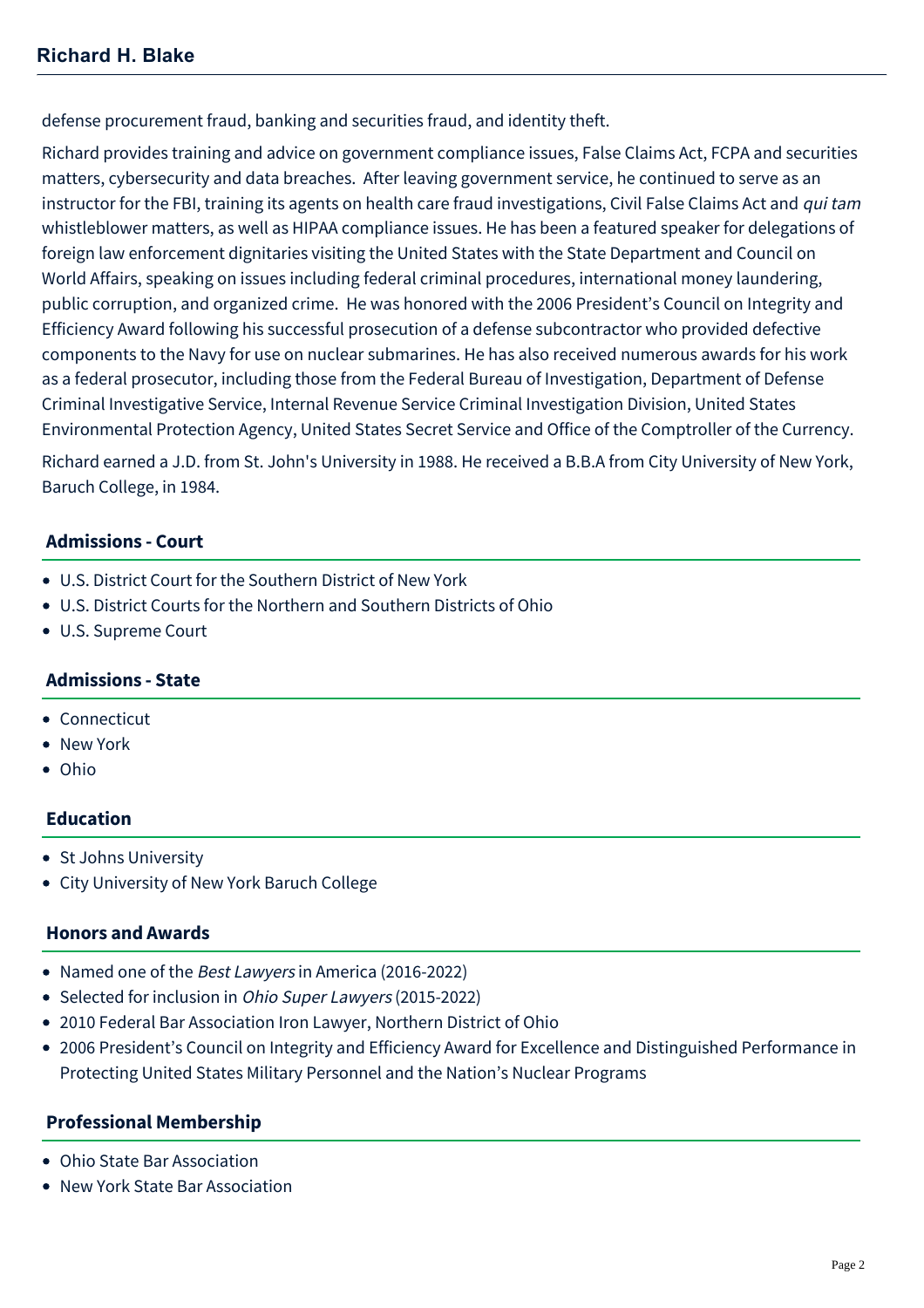defense procurement fraud, banking and securities fraud, and identity theft.

Richard provides training and advice on government compliance issues, False Claims Act, FCPA and securities matters, cybersecurity and data breaches. After leaving government service, he continued to serve as an instructor for the FBI, training its agents on health care fraud investigations, Civil False Claims Act and qui tam whistleblower matters, as well as HIPAA compliance issues. He has been a featured speaker for delegations of foreign law enforcement dignitaries visiting the United States with the State Department and Council on World Affairs, speaking on issues including federal criminal procedures, international money laundering, public corruption, and organized crime. He was honored with the 2006 President's Council on Integrity and Efficiency Award following his successful prosecution of a defense subcontractor who provided defective components to the Navy for use on nuclear submarines. He has also received numerous awards for his work as a federal prosecutor, including those from the Federal Bureau of Investigation, Department of Defense Criminal Investigative Service, Internal Revenue Service Criminal Investigation Division, United States Environmental Protection Agency, United States Secret Service and Office of the Comptroller of the Currency.

Richard earned a J.D. from St. John's University in 1988. He received a B.B.A from City University of New York, Baruch College, in 1984.

#### **Admissions - Court**

- U.S. District Court for the Southern District of New York
- U.S. District Courts for the Northern and Southern Districts of Ohio
- U.S. Supreme Court

#### **Admissions - State**

- Connecticut
- New York
- Ohio

#### **Education**

- St Johns University
- City University of New York Baruch College

#### **Honors and Awards**

- Named one of the Best Lawyers in America (2016-2022)
- Selected for inclusion in *Ohio Super Lawyers* (2015-2022)
- 2010 Federal Bar Association Iron Lawyer, Northern District of Ohio
- 2006 President's Council on Integrity and Efficiency Award for Excellence and Distinguished Performance in Protecting United States Military Personnel and the Nation's Nuclear Programs

#### **Professional Membership**

- Ohio State Bar Association
- New York State Bar Association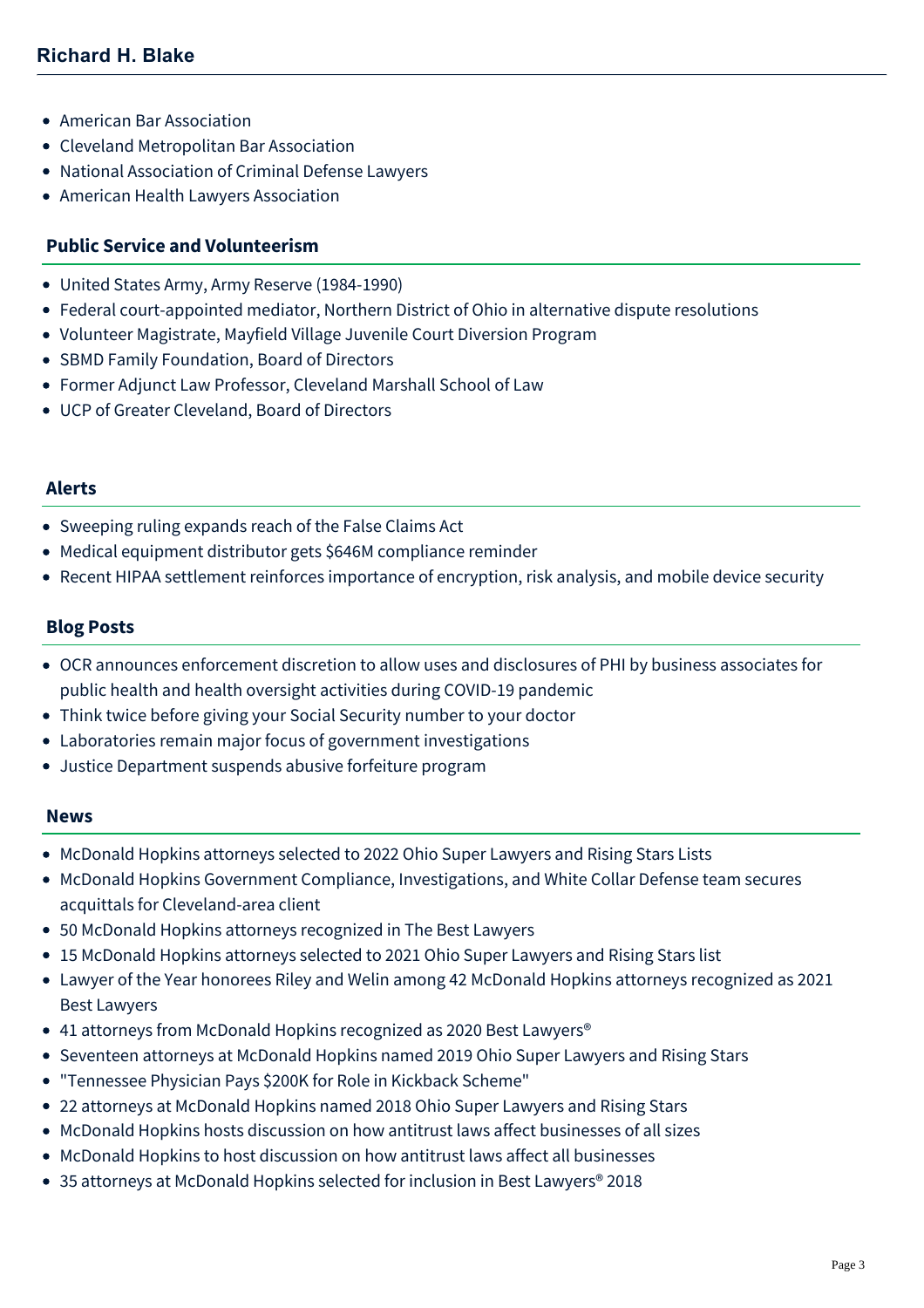- American Bar Association
- Cleveland Metropolitan Bar Association
- National Association of Criminal Defense Lawyers
- American Health Lawyers Association

#### **Public Service and Volunteerism**

- United States Army, Army Reserve (1984-1990)
- Federal court-appointed mediator, Northern District of Ohio in alternative dispute resolutions
- Volunteer Magistrate, Mayfield Village Juvenile Court Diversion Program
- SBMD Family Foundation, Board of Directors
- Former Adjunct Law Professor, Cleveland Marshall School of Law
- UCP of Greater Cleveland, Board of Directors

#### **Alerts**

- [Sweeping ruling expands reach of the False Claims Act](https://businessadvocate.mcdonaldhopkins.com/Insights/June-2016/Sweeping-ruling-expands-reach-of-the-False-Claims)
- [Medical equipment distributor gets \\$646M compliance reminder](https://businessadvocate.mcdonaldhopkins.com/Insights/March-2016/Medical-equipment-distributor-646M-compliance-remi)
- [Recent HIPAA settlement reinforces importance of encryption, risk analysis, and mobile device security](https://businessadvocate.mcdonaldhopkins.com/Insights/September-2015/Healthcare-and-Data-Privacy-and-Cybersecurity-Rece)

#### **Blog Posts**

- [OCR announces enforcement discretion to allow uses and disclosures of PHI by business associates for](https://businessadvocate.mcdonaldhopkins.com/Insights/April-2020/OCR-announces-enforcement-discretion-to-allow-uses) public health and health oversight activities during COVID-19 pandemic
- [Think twice before giving your Social Security number to your doctor](https://businessadvocate.mcdonaldhopkins.com/Insights/September-2018/Think-twice-before-giving-your-Social-Security-num)
- [Laboratories remain major focus of government investigations](https://businessadvocate.mcdonaldhopkins.com/Insights/October-2015/Laboratories-remain-major-focus-of-government-inve)
- [Justice Department suspends abusive forfeiture program](https://businessadvocate.mcdonaldhopkins.com/Insights/January-2015/Justice-Department-suspends-abusive-forfeiture-pro)

#### **News**

- [McDonald Hopkins attorneys selected to 2022 Ohio Super Lawyers and Rising Stars Lists](https://businessadvocate.mcdonaldhopkins.com/Insights/December-2021/McDonald-Hopkins-Ohio-Super-Lawyers)
- [McDonald Hopkins Government Compliance, Investigations, and White Collar Defense team secures](https://businessadvocate.mcdonaldhopkins.com/Insights/October-2021/government-compliance-investigations-acquittal) acquittals for Cleveland-area client
- [50 McDonald Hopkins attorneys recognized in The Best Lawyers](https://businessadvocate.mcdonaldhopkins.com/Insights/August-2021/50-McDonald-Hopkins-attorneys-recognized-in-The-Be)
- [15 McDonald Hopkins attorneys selected to 2021 Ohio Super Lawyers and Rising Stars list](https://businessadvocate.mcdonaldhopkins.com/Insights/December-2020/15-McDonald-Hopkins-attorneys-selected-to-2021-Ohi)
- [Lawyer of the Year honorees Riley and Welin among 42 McDonald Hopkins attorneys recognized as 2021](https://businessadvocate.mcdonaldhopkins.com/Insights/August-2020/Lawyer-of-the-Year-honorees-Riley-and-Welin-among) Best Lawyers
- 41 attorneys from McDonald Hopkins recognized as 2020 Best Lawyers<sup>®</sup>
- [Seventeen attorneys at McDonald Hopkins named 2019 Ohio Super Lawyers and Rising Stars](https://businessadvocate.mcdonaldhopkins.com/Insights/December-2018/Seventeen-attorneys-at-McDonald-Hopkins-named-2019)
- ["Tennessee Physician Pays \\$200K for Role in Kickback Scheme"](https://businessadvocate.mcdonaldhopkins.com/Insights/May-2018/Tennessee-Physician-Pays-for-Role-in-Kickback-Sche)
- [22 attorneys at McDonald Hopkins named 2018 Ohio Super Lawyers and Rising Stars](https://businessadvocate.mcdonaldhopkins.com/Insights/December-2017/22-attorneys-at-McDonald-Hopkins-named-2018-Ohio-S)
- [McDonald Hopkins hosts discussion on how antitrust laws affect businesses of all sizes](https://businessadvocate.mcdonaldhopkins.com/Insights/November-2017/McDonald-Hopkins-hosts-discussion-on-how-antitrust)
- [McDonald Hopkins to host discussion on how antitrust laws affect all businesses](https://businessadvocate.mcdonaldhopkins.com/Insights/October-2017/McDonald-Hopkins-to-host-discussion-on-how-antitru)
- 35 attorneys at McDonald Hopkins selected for inclusion in Best Lawyers<sup>®</sup> 2018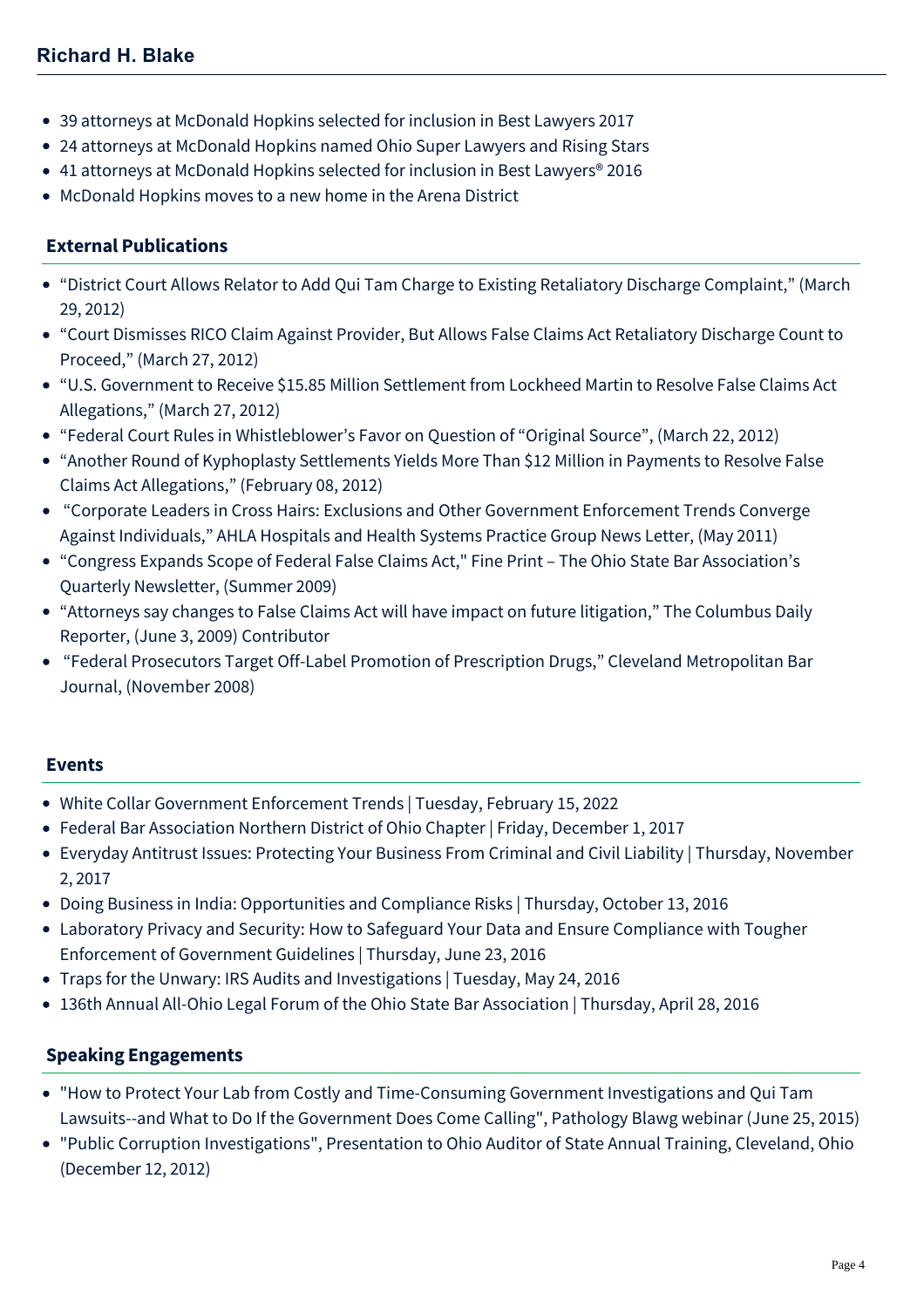- [39 attorneys at McDonald Hopkins selected for inclusion in Best Lawyers 2017](https://businessadvocate.mcdonaldhopkins.com/Insights/August-2016/39-attorneys-at-McDonald-Hopkins-selected-for-incl)
- [24 attorneys at McDonald Hopkins named Ohio Super Lawyers and Rising Stars](https://businessadvocate.mcdonaldhopkins.com/Insights/December-2015/24-attorneys-at-McDonald-Hopkins-named-Ohio-Super)
- [41 attorneys at McDonald Hopkins selected for inclusion in Best Lawyers® 2016](https://businessadvocate.mcdonaldhopkins.com/Insights/August-2015/33-attorneys-at-McDonald-Hopkins-selected-for-incl)
- [McDonald Hopkins moves to a new home in the Arena District](https://businessadvocate.mcdonaldhopkins.com/Insights/March-2015/McDonald-Hopkins-moves-to-a-new-home-in-the-Arena)

## **External Publications**

- "District Court Allows Relator to Add Qui Tam Charge to Existing Retaliatory Discharge Complaint," (March 29, 2012)
- "Court Dismisses RICO Claim Against Provider, But Allows False Claims Act Retaliatory Discharge Count to Proceed," (March 27, 2012)
- "U.S. Government to Receive \$15.85 Million Settlement from Lockheed Martin to Resolve False Claims Act Allegations," (March 27, 2012)
- "Federal Court Rules in Whistleblower's Favor on Question of "Original Source", (March 22, 2012)
- "Another Round of Kyphoplasty Settlements Yields More Than \$12 Million in Payments to Resolve False Claims Act Allegations," (February 08, 2012)
- "Corporate Leaders in Cross Hairs: Exclusions and Other Government Enforcement Trends Converge Against Individuals," AHLA Hospitals and Health Systems Practice Group News Letter, (May 2011)
- "Congress Expands Scope of Federal False Claims Act," Fine Print The Ohio State Bar Association's Quarterly Newsletter, (Summer 2009)
- "Attorneys say changes to False Claims Act will have impact on future litigation," The Columbus Daily Reporter, (June 3, 2009) Contributor
- "Federal Prosecutors Target Off-Label Promotion of Prescription Drugs," Cleveland Metropolitan Bar Journal, (November 2008)

#### **Events**

- [White Collar Government Enforcement Trends | Tuesday, February 15, 2022](https://businessadvocate.mcdonaldhopkins.com/Events/2022/White-Collar-Government-Enforcement-Trends)
- [Federal Bar Association Northern District of Ohio Chapter | Friday, December 1, 2017](https://businessadvocate.mcdonaldhopkins.com/Events/2017/Federal-Bar-Association-Northern-District-of-Ohio-Chapter)
- [Everyday Antitrust Issues: Protecting Your Business From Criminal and Civil Liability | Thursday, November](https://businessadvocate.mcdonaldhopkins.com/Events/2017/Everyday-Antitrust-Issues) 2, 2017
- [Doing Business in India: Opportunities and Compliance Risks | Thursday, October 13, 2016](https://businessadvocate.mcdonaldhopkins.com/Events/2016/Doing-Business-in-India-Entrepreneurial-Opportunities-and-Compliance-Risks)
- [Laboratory Privacy and Security: How to Safeguard Your Data and Ensure Compliance with Tougher](https://businessadvocate.mcdonaldhopkins.com/Events/2016/Laboratory-Privacy-and-Security-Webinar) Enforcement of Government Guidelines | Thursday, June 23, 2016
- [Traps for the Unwary: IRS Audits and Investigations | Tuesday, May 24, 2016](https://businessadvocate.mcdonaldhopkins.com/Events/2016/Traps-for-the-Unwary)
- [136th Annual All-Ohio Legal Forum of the Ohio State Bar Association | Thursday, April 28, 2016](https://businessadvocate.mcdonaldhopkins.com/Events/2016/136th-Annual-All-Ohio-Legal-Forum-of-the-Ohio-State-Bar-Association)

#### **Speaking Engagements**

- "How to Protect Your Lab from Costly and Time-Consuming Government Investigations and Qui Tam Lawsuits--and What to Do If the Government Does Come Calling", Pathology Blawg webinar (June 25, 2015)
- "Public Corruption Investigations", Presentation to Ohio Auditor of State Annual Training, Cleveland, Ohio (December 12, 2012)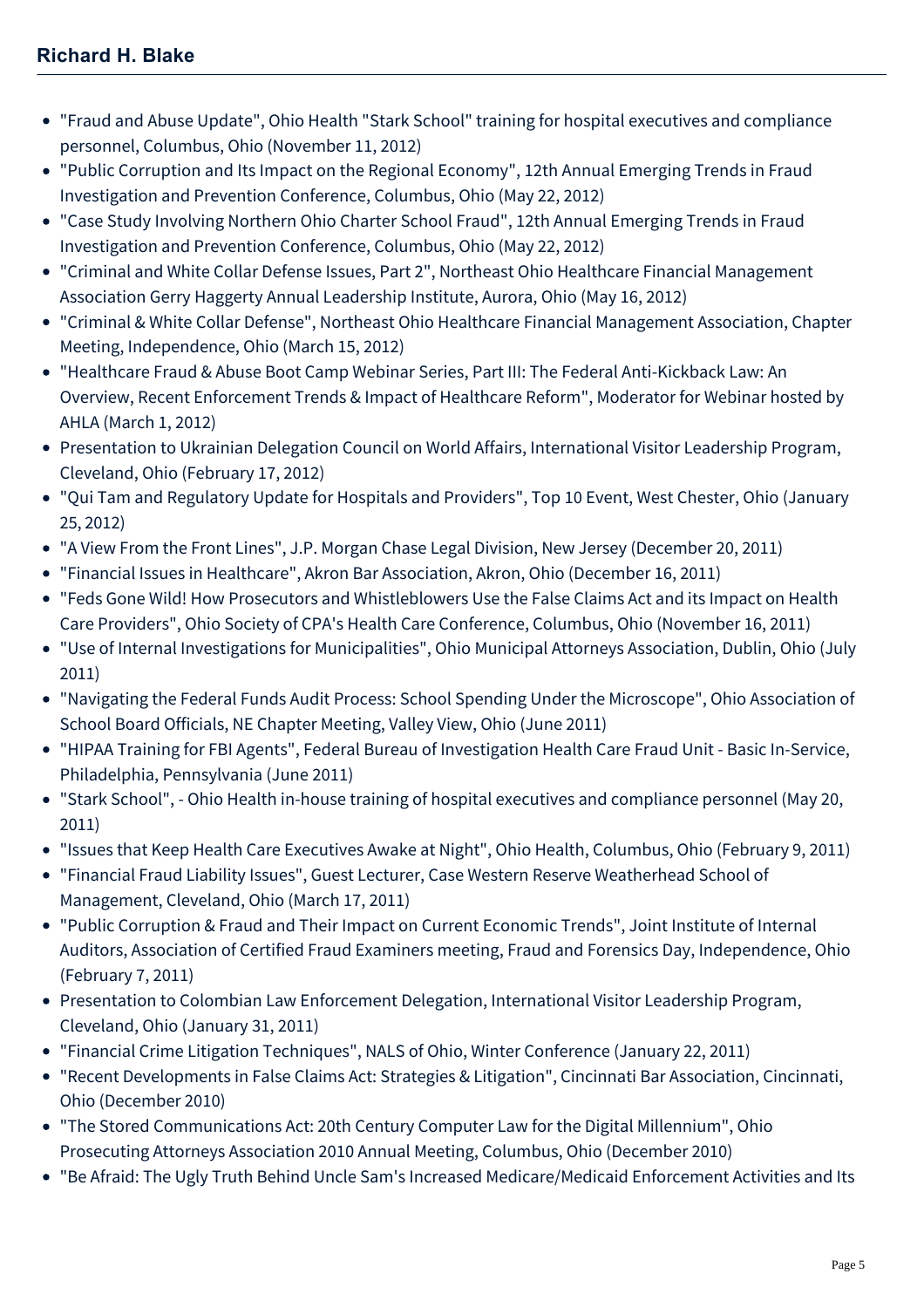# **Richard H. Blake**

- "Fraud and Abuse Update", Ohio Health "Stark School" training for hospital executives and compliance personnel, Columbus, Ohio (November 11, 2012)
- "Public Corruption and Its Impact on the Regional Economy", 12th Annual Emerging Trends in Fraud Investigation and Prevention Conference, Columbus, Ohio (May 22, 2012)
- "Case Study Involving Northern Ohio Charter School Fraud", 12th Annual Emerging Trends in Fraud Investigation and Prevention Conference, Columbus, Ohio (May 22, 2012)
- "Criminal and White Collar Defense Issues, Part 2", Northeast Ohio Healthcare Financial Management Association Gerry Haggerty Annual Leadership Institute, Aurora, Ohio (May 16, 2012)
- "Criminal & White Collar Defense", Northeast Ohio Healthcare Financial Management Association, Chapter Meeting, Independence, Ohio (March 15, 2012)
- "Healthcare Fraud & Abuse Boot Camp Webinar Series, Part III: The Federal Anti-Kickback Law: An Overview, Recent Enforcement Trends & Impact of Healthcare Reform", Moderator for Webinar hosted by AHLA (March 1, 2012)
- Presentation to Ukrainian Delegation Council on World Affairs, International Visitor Leadership Program, Cleveland, Ohio (February 17, 2012)
- "Qui Tam and Regulatory Update for Hospitals and Providers", Top 10 Event, West Chester, Ohio (January 25, 2012)
- "A View From the Front Lines", J.P. Morgan Chase Legal Division, New Jersey (December 20, 2011)
- "Financial Issues in Healthcare", Akron Bar Association, Akron, Ohio (December 16, 2011)
- "Feds Gone Wild! How Prosecutors and Whistleblowers Use the False Claims Act and its Impact on Health Care Providers", Ohio Society of CPA's Health Care Conference, Columbus, Ohio (November 16, 2011)
- "Use of Internal Investigations for Municipalities", Ohio Municipal Attorneys Association, Dublin, Ohio (July 2011)
- "Navigating the Federal Funds Audit Process: School Spending Under the Microscope", Ohio Association of School Board Officials, NE Chapter Meeting, Valley View, Ohio (June 2011)
- "HIPAA Training for FBI Agents", Federal Bureau of Investigation Health Care Fraud Unit Basic In-Service, Philadelphia, Pennsylvania (June 2011)
- "Stark School", Ohio Health in-house training of hospital executives and compliance personnel (May 20, 2011)
- "Issues that Keep Health Care Executives Awake at Night", Ohio Health, Columbus, Ohio (February 9, 2011)
- "Financial Fraud Liability Issues", Guest Lecturer, Case Western Reserve Weatherhead School of Management, Cleveland, Ohio (March 17, 2011)
- "Public Corruption & Fraud and Their Impact on Current Economic Trends", Joint Institute of Internal Auditors, Association of Certified Fraud Examiners meeting, Fraud and Forensics Day, Independence, Ohio (February 7, 2011)
- Presentation to Colombian Law Enforcement Delegation, International Visitor Leadership Program, Cleveland, Ohio (January 31, 2011)
- "Financial Crime Litigation Techniques", NALS of Ohio, Winter Conference (January 22, 2011)
- "Recent Developments in False Claims Act: Strategies & Litigation", Cincinnati Bar Association, Cincinnati, Ohio (December 2010)
- "The Stored Communications Act: 20th Century Computer Law for the Digital Millennium", Ohio Prosecuting Attorneys Association 2010 Annual Meeting, Columbus, Ohio (December 2010)
- "Be Afraid: The Ugly Truth Behind Uncle Sam's Increased Medicare/Medicaid Enforcement Activities and Its